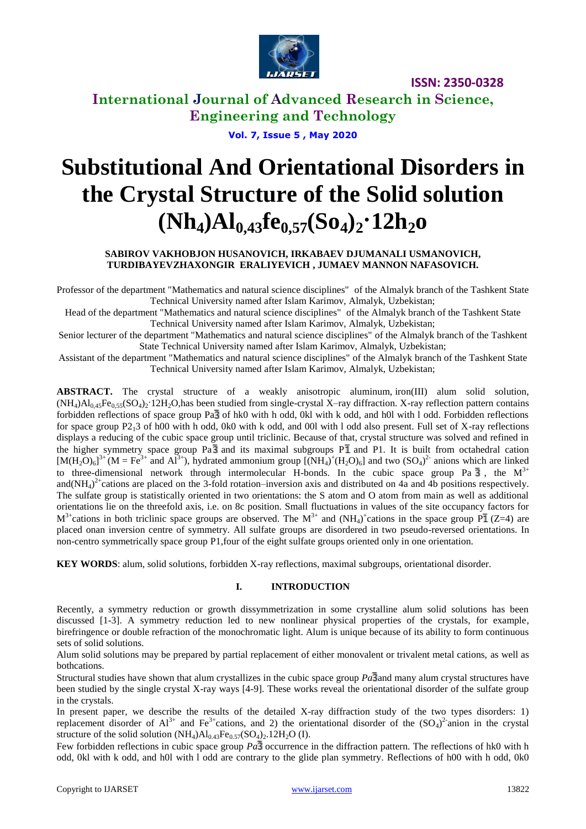

**ISSN: 2350-0328**

**International Journal of Advanced Research in Science, Engineering and Technology**

**Vol. 7, Issue 5 , May 2020**

# **Substitutional And Orientational Disorders in the Crystal Structure of the Solid solution (Nh4)Al0,43fe0,57(So4)2·12h2o**

### **SABIROV VAKHOBJON HUSANOVICH, IRKABAEV DJUMANALI USMANOVICH, TURDIBAYEVZHAXONGIR ERALIYEVICH , JUMAEV MANNON NAFASOVICH.**

Professor of the department "Mathematics and natural science disciplines" of the Almalyk branch of the Tashkent State Technical University named after Islam Karimov, Almalyk, Uzbekistan;

Head of the department "Mathematics and natural science disciplines" of the Almalyk branch of the Tashkent State Technical University named after Islam Karimov, Almalyk, Uzbekistan;

Senior lecturer of the department "Mathematics and natural science disciplines" of the Almalyk branch of the Tashkent State Technical University named after Islam Karimov, Almalyk, Uzbekistan;

Assistant of the department "Mathematics and natural science disciplines" of the Almalyk branch of the Tashkent State Technical University named after Islam Karimov, Almalyk, Uzbekistan;

**ABSTRACT.** The crystal structure of a weakly anisotropic aluminum, iron(III) alum solid solution,  $(NH_4)Al_{0,45}Fe_{0,55}(SO_4)_2$ <sup>-12H<sub>2</sub>O,has been studied from single-crystal X–ray diffraction. X-ray reflection pattern contains</sup> forbidden reflections of space group Pa $\overline{3}$  of hk0 with h odd, 0kl with k odd, and h0l with l odd. Forbidden reflections for space group P213 of h00 with h odd, 0k0 with k odd, and 00l with l odd also present. Full set of X-ray reflections displays a reducing of the cubic space group until triclinic. Because of that, crystal structure was solved and refined in the higher symmetry space group  $Pa\overline{3}$  and its maximal subgroups  $P\overline{1}$  and P1. It is built from octahedral cation  $[M(H_2O)_6]^3$ <sup>+</sup> (M = Fe<sup>3+</sup> and Al<sup>3+</sup>), hydrated ammonium group  $[(NH_4)^+(H_2O)_6]$  and two  $(SO_4)^2$  anions which are linked to three-dimensional network through intermolecular H-bonds. In the cubic space group Pa  $\overline{3}$ , the M<sup>3+</sup> and(NH<sub>4</sub>)<sup>2+</sup>cations are placed on the 3-fold rotation–inversion axis and distributed on 4a and 4b positions respectively. The sulfate group is statistically oriented in two orientations: the S atom and O atom from main as well as additional orientations lie on the threefold axis, i.e. on 8c position. Small fluctuations in values of the site occupancy factors for  $M^{3+}$ cations in both triclinic space groups are observed. The  $M^{3+}$  and  $(NH_4)^+$ cations in the space group P $\bar{1}$  (Z=4) are placed onan inversion centre of symmetry. All sulfate groups are disordered in two pseudo-reversed orientations. In non-centro symmetrically space group P1,four of the eight sulfate groups oriented only in one orientation.

**KEY WORDS**: alum, solid solutions, forbidden X-ray reflections, maximal subgroups, orientational disorder.

### **I. INTRODUCTION**

Recently, a symmetry reduction or growth dissymmetrization in some crystalline alum solid solutions has been discussed [1-3]. A symmetry reduction led to new nonlinear physical properties of the crystals, for example, birefringence or double refraction of the monochromatic light. Alum is unique because of its ability to form continuous sets of solid solutions.

Alum solid solutions may be prepared by partial replacement of either monovalent or trivalent metal cations, as well as bothcations.

Structural studies have shown that alum crystallizes in the cubic space group  $Pa\overline{3}$  and many alum crystal structures have been studied by the single crystal X-ray ways [4-9]. These works reveal the orientational disorder of the sulfate group in the crystals.

In present paper, we describe the results of the detailed X-ray diffraction study of the two types disorders: 1) replacement disorder of  $Al^{3+}$  and Fe<sup>3+</sup>cations, and 2) the orientational disorder of the  $(SO_4)^2$  anion in the crystal structure of the solid solution  $(NH_4)Al_{0.43}Fe_{0.57}(SO_4)_2.12H_2O (I)$ .

Few forbidden reflections in cubic space group  $Pa\bar{3}$  occurrence in the diffraction pattern. The reflections of hk0 with h odd, 0kl with k odd, and h0l with l odd are contrary to the glide plan symmetry. Reflections of h00 with h odd, 0k0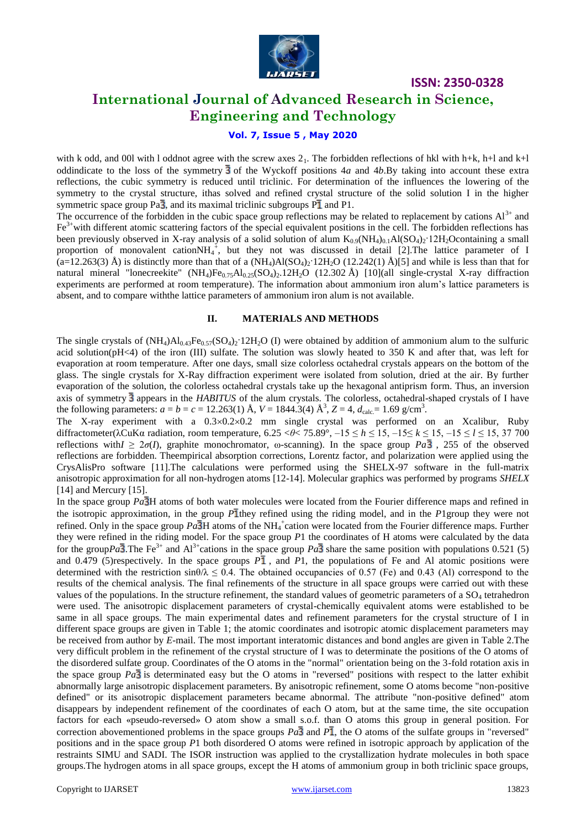

**ISSN: 2350-0328**

### **International Journal of Advanced Research in Science, Engineering and Technology**

### **Vol. 7, Issue 5 , May 2020**

with k odd, and 00l with l oddnot agree with the screw axes  $2<sub>1</sub>$ . The forbidden reflections of hkl with h+k, h+l and k+l oddindicate to the loss of the symmetry  $\overline{3}$  of the Wyckoff positions 4*a* and 4*b*.By taking into account these extra reflections, the cubic symmetry is reduced until triclinic. For determination of the influences the lowering of the symmetry to the crystal structure, ithas solved and refined crystal structure of the solid solution I in the higher symmetric space group  $Pa\overline{3}$ , and its maximal triclinic subgroups  $P\overline{1}$  and P1.

The occurrence of the forbidden in the cubic space group reflections may be related to replacement by cations  $Al^{3+}$  and  $Fe<sup>3+</sup>$  with different atomic scattering factors of the special equivalent positions in the cell. The forbidden reflections has been previously observed in X-ray analysis of a solid solution of alum  $K_{0.9}(NH_4)_{0.1}Al(SO_4)_2.12H_2O$ containing a small proportion of monovalent cation $NH_4^+$ , but they not was discussed in detail [2]. The lattice parameter of I  $(a=12.263(3)$  Å) is distinctly more than that of a  $(NH_4)Al(SO_4)_2$ <sup> $\cdot$ </sup> $12H_2O$   $(12.242(1)$  Å)[5] and while is less than that for natural mineral "lonecreekite" (NH<sub>4</sub>)Fe<sub>0.75</sub>Al<sub>0.25</sub>(SO<sub>4</sub>)<sub>2</sub>.12H<sub>2</sub>O (12.302 Å) [10](all single-crystal X-ray diffraction experiments are performed at room temperature). The information about ammonium iron alum's lattice parameters is absent, and to compare withthe lattice parameters of ammonium iron alum is not available.

#### **II. MATERIALS AND METHODS**

The single crystals of  $(NH_4)AI_{0.43}Fe_{0.57}(SO_4)$ ; 12H<sub>2</sub>O (I) were obtained by addition of ammonium alum to the sulfuric acid solution( $pH<4$ ) of the iron (III) sulfate. The solution was slowly heated to 350 K and after that, was left for evaporation at room temperature. After one days, small size colorless octahedral crystals appears on the bottom of the glass. The single crystals for X-Ray diffraction experiment were isolated from solution, dried at the air. By further evaporation of the solution, the colorless octahedral crystals take up the hexagonal antiprism form. Thus, an inversion axis of symmetry  $\overline{3}$  appears in the *HABITUS* of the alum crystals. The colorless, octahedral-shaped crystals of I have the following parameters:  $a = b = c = 12.263(1)$  Å,  $V = 1844.3(4)$  Å<sup>3</sup>,  $Z = 4$ ,  $d_{\text{calc}} = 1.69$  g/cm<sup>3</sup>.

The X-ray experiment with a  $0.3 \times 0.2 \times 0.2$  mm single crystal was performed on an Xcalibur, Ruby diffractometer(λCuKα radiation, room temperature, 6.25 <*θ*< 75.89°, –15 ≤ *h* ≤ 15, –15≤ *k* ≤ 15, –15 ≤ *l* ≤ 15, 37 700 reflections with  $\geq 2\sigma(I)$ , graphite monochromator,  $\omega$ -scanning). In the space group *Pa*  $\overline{3}$ , 255 of the observed reflections are forbidden. Theempirical absorption corrections, Lorentz factor, and polarization were applied using the CrysAlisPro software [11].The calculations were performed using the SHELX-97 software in the full-matrix anisotropic approximation for all non-hydrogen atoms [12-14]. Molecular graphics was performed by programs *SHELX*  [14] and Mercury [15].

In the space group *Pa* H atoms of both water molecules were located from the Fourier difference maps and refined in the isotropic approximation, in the group *P* they refined using the riding model, and in the *P*1group they were not refined. Only in the space group  $Pa\overline{3}H$  atoms of the NH<sub>4</sub><sup>+</sup>cation were located from the Fourier difference maps. Further they were refined in the riding model. For the space group *P*1 the coordinates of H atoms were calculated by the data for the group  $Pa\overline{3}$ . The Fe<sup>3+</sup> and Al<sup>3+</sup>cations in the space group  $Pa\overline{3}$  share the same position with populations 0.521 (5) and 0.479 (5)respectively. In the space groups  $P\bar{1}$ , and P1, the populations of Fe and Al atomic positions were determined with the restriction  $\sin\theta/\lambda \leq 0.4$ . The obtained occupancies of 0.57 (Fe) and 0.43 (Al) correspond to the results of the chemical analysis. The final refinements of the structure in all space groups were carried out with these values of the populations. In the structure refinement, the standard values of geometric parameters of a  $SO_4$  tetrahedron were used. The anisotropic displacement parameters of crystal-chemically equivalent atoms were established to be same in all space groups. The main experimental dates and refinement parameters for the crystal structure of I in different space groups are given in Table 1; the atomic coordinates and isotropic atomic displacement parameters may be received from author by *E*-mail. The most important interatomic distances and bond angles are given in Table 2.The very difficult problem in the refinement of the crystal structure of I was to determinate the positions of the O atoms of the disordered sulfate group. Coordinates of the O atoms in the "normal" orientation being on the 3-fold rotation axis in the space group  $Pa\overline{3}$  is determinated easy but the O atoms in "reversed" positions with respect to the latter exhibit abnormally large anisotropic displacement parameters. By anisotropic refinement, some O atoms become "non-positive defined" or its anisotropic displacement parameters became abnormal. The attribute "non-positive defined" atom disappears by independent refinement of the coordinates of each O atom, but at the same time, the site occupation factors for each «pseudo-reversed» O atom show a small s.o.f. than O atoms this group in general position. For correction abovementioned problems in the space groups  $Pa\overline{3}$  and  $P\overline{1}$ , the O atoms of the sulfate groups in "reversed" positions and in the space group *P*1 both disordered O atoms were refined in isotropic approach by application of the restraints SIMU and SADI. The ISOR instruction was applied to the crystallization hydrate molecules in both space groups.The hydrogen atoms in all space groups, except the H atoms of ammonium group in both triclinic space groups,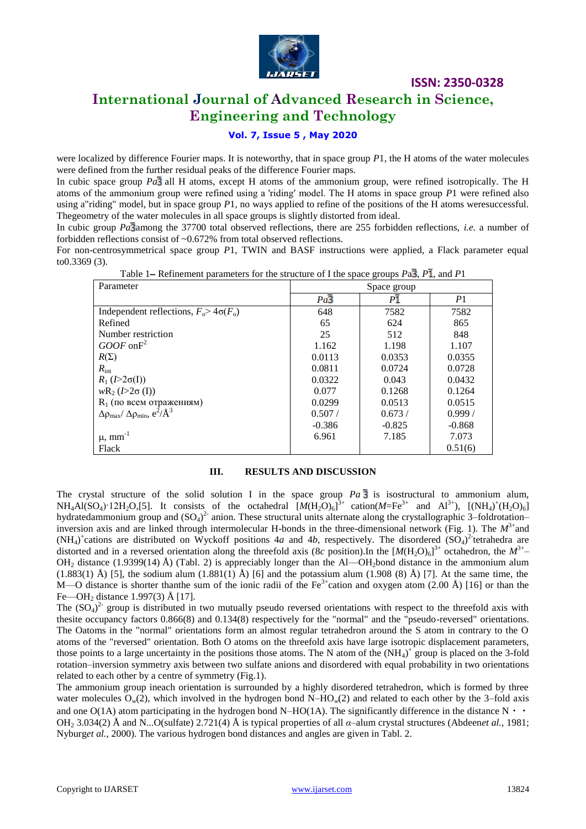

**ISSN: 2350-0328**

## **International Journal of Advanced Research in Science, Engineering and Technology**

### **Vol. 7, Issue 5 , May 2020**

were localized by difference Fourier maps. It is noteworthy, that in space group *P*1, the H atoms of the water molecules were defined from the further residual peaks of the difference Fourier maps.

In cubic space group  $Pa\bar{3}$  all H atoms, except H atoms of the ammonium group, were refined isotropically. The H atoms of the ammonium group were refined using a 'riding′ model. The H atoms in space group *P*1 were refined also using a"riding" model, but in space group *P*1, no ways applied to refine of the positions of the H atoms weresuccessful. Thegeometry of the water molecules in all space groups is slightly distorted from ideal.

In cubic group *Pa* 3 among the 37700 total observed reflections, there are 255 forbidden reflections, *i.e.* a number of forbidden reflections consist of ~0.672% from total observed reflections.

For non-centrosymmetrical space group *P*1, TWIN and BASF instructions were applied, a Flack parameter equal to0.3369 (3).

| Parameter                                               |                  | Space group    |                |  |
|---------------------------------------------------------|------------------|----------------|----------------|--|
|                                                         | $Pa\overline{3}$ | P <sub>1</sub> | P <sub>1</sub> |  |
| Independent reflections, $F_0$ > 4 $\sigma(F_0)$        | 648              | 7582           | 7582           |  |
| Refined                                                 | 65               | 624            | 865            |  |
| Number restriction                                      | 25               | 512            | 848            |  |
| $GOOF$ on $F^2$                                         | 1.162            | 1.198          | 1.107          |  |
| $R(\Sigma)$                                             | 0.0113           | 0.0353         | 0.0355         |  |
| $R_{\rm int}$                                           | 0.0811           | 0.0724         | 0.0728         |  |
| $R_1 (I > 2\sigma(I))$                                  | 0.0322           | 0.043          | 0.0432         |  |
| $wR_2 (I > 2\sigma(I))$                                 | 0.077            | 0.1268         | 0.1264         |  |
| $R_1$ (по всем отражениям)                              | 0.0299           | 0.0513         | 0.0515         |  |
| $\Delta \rho_{max}/\Delta \rho_{min}, e^2/\text{\AA}^3$ | 0.507/           | 0.673/         | 0.999/         |  |
|                                                         | $-0.386$         | $-0.825$       | $-0.868$       |  |
| $\mu$ , mm <sup>-1</sup>                                | 6.961            | 7.185          | 7.073          |  |
| Flack                                                   |                  |                | 0.51(6)        |  |

Table 1– Refinement parameters for the structure of I the space groups  $Pa\overline{3}$ ,  $P\overline{1}$ , and  $P1$ 

### **III. RESULTS AND DISCUSSION**

The crystal structure of the solid solution I in the space group  $Pa\overline{3}$  is isostructural to ammonium alum,  $NH_4Al(SO_4)$  12H<sub>2</sub>O,[5]. It consists of the octahedral  $[M(H_2O)_6]^{3+}$  cation( $M=Fe^{3+}$  and  $Al^{3+}$ ),  $[(NH_4)^+(H_2O)_6]$ hydratedammonium group and  $(SO_4)^2$  anion. These structural units alternate along the crystallographic 3–foldrotation– inversion axis and are linked through intermolecular H-bonds in the three-dimensional network (Fig. 1). The  $M^{3+}$ and  $(NH<sub>4</sub>)<sup>+</sup>$ cations are distributed on Wyckoff positions 4*a* and 4*b*, respectively. The disordered  $(SO<sub>4</sub>)<sup>2</sup>$  tetrahedra are distorted and in a reversed orientation along the threefold axis (8c position).In the  $[M(H_2O)_6]^{3+}$  octahedron, the  $M^{3+}$  $OH<sub>2</sub>$  distance (1.9399(14) Å) (Tabl. 2) is appreciably longer than the Al—OH<sub>2</sub>bond distance in the ammonium alum  $(1.883(1)$  Å) [5], the sodium alum  $(1.881(1)$  Å) [6] and the potassium alum  $(1.908(8)$  Å) [7]. At the same time, the M—O distance is shorter than the sum of the ionic radii of the  $Fe^{3+}$ cation and oxygen atom (2.00 Å) [16] or than the Fe—OH<sub>2</sub> distance 1.997(3) Å [17].

The  $(SO_4)^2$  group is distributed in two mutually pseudo reversed orientations with respect to the threefold axis with thesite occupancy factors 0.866(8) and 0.134(8) respectively for the "normal" and the "pseudo-reversed" orientations. The Oatoms in the "normal" orientations form an almost regular tetrahedron around the S atom in contrary to the O atoms of the "reversed" orientation. Both O atoms on the threefold axis have large isotropic displacement parameters, those points to a large uncertainty in the positions those atoms. The N atom of the  $(NH_4)^+$  group is placed on the 3-fold rotation–inversion symmetry axis between two sulfate anions and disordered with equal probability in two orientations related to each other by a centre of symmetry (Fig.1).

The ammonium group ineach orientation is surrounded by a highly disordered tetrahedron, which is formed by three water molecules O*w*(2), which involved in the hydrogen bond N–HO*w*(2) and related to each other by the 3–fold axis and one  $O(1A)$  atom participating in the hydrogen bond N–HO(1A). The significantly difference in the distance  $N \cdot \cdot$ OH<sup>2</sup> 3.034(2) Å and N...O(sulfate) 2.721(4) Å is typical properties of all *α*–alum crystal structures (Abdeen*et al.*, 1981; Nyburg*et al.*, 2000). The various hydrogen bond distances and angles are given in Tabl. 2.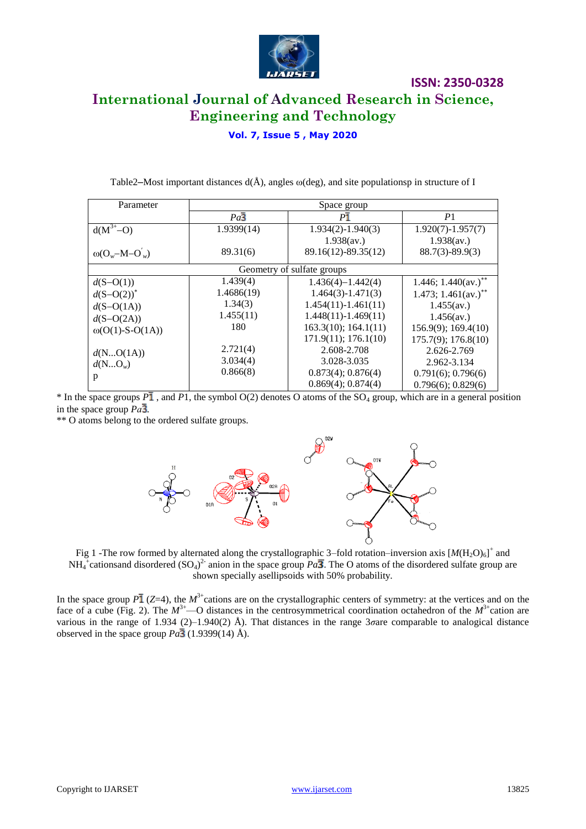

**ISSN: 2350-0328**

### **Vol. 7, Issue 5 , May 2020**

| Parameter                  | Space group      |                            |                          |  |
|----------------------------|------------------|----------------------------|--------------------------|--|
|                            | $Pa\overline{3}$ | P <sub>1</sub>             | P <sub>1</sub>           |  |
| $\overline{d(M^{3+}-O)}$   | 1.9399(14)       | $1.934(2) - 1.940(3)$      | $1.920(7) - 1.957(7)$    |  |
|                            |                  | 1.938(av.)                 | 1.938(av.)               |  |
| $\omega(O_w-M-O_w)$        | 89.31(6)         | 89.16(12)-89.35(12)        | $88.7(3) - 89.9(3)$      |  |
|                            |                  | Geometry of sulfate groups |                          |  |
| $d(S-O(1))$                | 1.439(4)         | $1.436(4) - 1.442(4)$      | 1.446; $1.440$ (av.)**   |  |
| $d(S-O(2))$ <sup>*</sup>   | 1.4686(19)       | $1.464(3) - 1.471(3)$      | 1.473; 1.461 $(av.)$ **  |  |
| $d(S-O(1A))$               | 1.34(3)          | $1.454(11) - 1.461(11)$    | $1.455$ (av.)            |  |
| $d(S-O(2A))$               | 1.455(11)        | $1.448(11) - 1.469(11)$    | $1.456$ (av.)            |  |
| $\omega(O(1) - S - O(1A))$ | 180              | 163.3(10); 164.1(11)       | 156.9(9); 169.4(10)      |  |
|                            |                  | $171.9(11)$ ; $176.1(10)$  | $175.7(9)$ ; $176.8(10)$ |  |
| d(NO(1A))                  | 2.721(4)         | 2.608-2.708                | 2.626-2.769              |  |
| $d(NO_w)$                  | 3.034(4)         | 3.028-3.035                | 2.962-3.134              |  |
| p                          | 0.866(8)         | $0.873(4)$ ; $0.876(4)$    | $0.791(6)$ ; $0.796(6)$  |  |
|                            |                  | $0.869(4)$ ; $0.874(4)$    | $0.796(6)$ ; $0.829(6)$  |  |

Table2–Most important distances  $d(\hat{A})$ , angles  $\omega$ (deg), and site populationsp in structure of I

 $*$  In the space groups  $P\bar{1}$ , and P1, the symbol O(2) denotes O atoms of the SO<sub>4</sub> group, which are in a general position in the space group  $Pa\overline{3}$ .

\*\* O atoms belong to the ordered sulfate groups.



Fig 1 -The row formed by alternated along the crystallographic 3–fold rotation–inversion axis  $[M(H_2O)_6]^+$  and  $NH_4^+$ cationsand disordered  $(SO_4)^2$ <sup>2</sup> anion in the space group  $Pa\overline{3}$ . The O atoms of the disordered sulfate group are shown specially asellipsoids with 50% probability.

In the space group  $P\bar{1}$  (*Z*=4), the  $M^{3+}$ cations are on the crystallographic centers of symmetry: at the vertices and on the face of a cube (Fig. 2). The  $M^{3+}$ —O distances in the centrosymmetrical coordination octahedron of the  $M^{3+}$ cation are various in the range of 1.934 (2)–1.940(2) Å). That distances in the range 3*σ*are comparable to analogical distance observed in the space group  $Pa\overline{3}$  (1.9399(14) Å).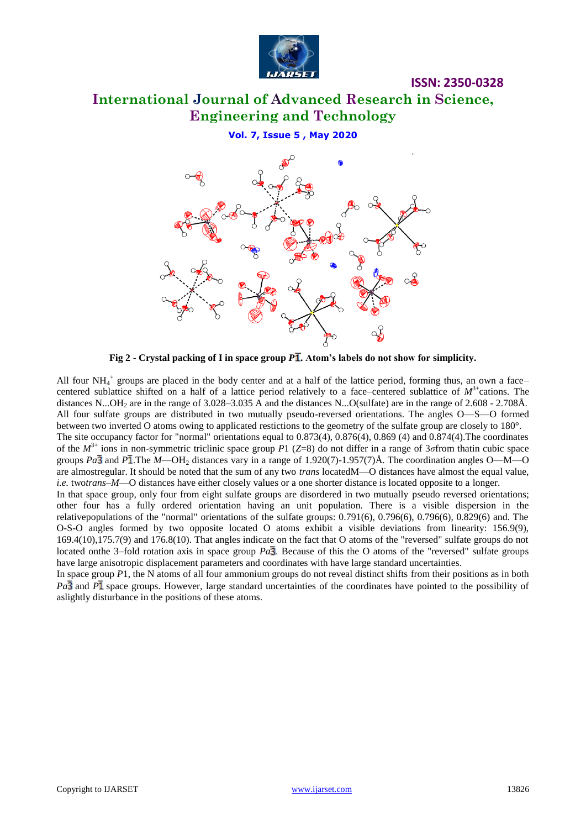

**ISSN: 2350-0328**

**Vol. 7, Issue 5 , May 2020**



**Fig 2 - Crystal packing of I in space group** *P* **. Atom's labels do not show for simplicity.**

All four  $NH_4^+$  groups are placed in the body center and at a half of the lattice period, forming thus, an own a facecentered sublattice shifted on a half of a lattice period relatively to a face–centered sublattice of  $M^3$ <sup>+</sup>cations. The distances N...OH<sub>2</sub> are in the range of  $3.028-3.035$  A and the distances N...O(sulfate) are in the range of  $2.608 - 2.708$ Å. All four sulfate groups are distributed in two mutually pseudo-reversed orientations. The angles O—S—O formed between two inverted O atoms owing to applicated restictions to the geometry of the sulfate group are closely to 180°. The site occupancy factor for "normal" orientations equal to 0.873(4), 0.876(4), 0.869 (4) and 0.874(4).The coordinates of the *M* 3+ ions in non-symmetric triclinic space group *P*1 (*Z*=8) do not differ in a range of 3*σ*from thatin cubic space groups  $Pa\overline{3}$  and  $P\overline{1}$ .The *M*—OH<sub>2</sub> distances vary in a range of 1.920(7)-1.957(7)Å. The coordination angles O—M—O are almostregular. It should be noted that the sum of any two *trans* locatedM—O distances have almost the equal value, *i.e.* two*trans*–*M*—O distances have either closely values or a one shorter distance is located opposite to a longer. In that space group, only four from eight sulfate groups are disordered in two mutually pseudo reversed orientations; other four has a fully ordered orientation having an unit population. There is a visible dispersion in the relativepopulations of the "normal" orientations of the sulfate groups: 0.791(6), 0.796(6), 0.796(6), 0.829(6) and. The O-S-O angles formed by two opposite located O atoms exhibit a visible deviations from linearity: 156.9(9), 169.4(10),175.7(9) and 176.8(10). That angles indicate on the fact that O atoms of the "reversed" sulfate groups do not located onthe 3–fold rotation axis in space group  $Pa\overline{3}$ . Because of this the O atoms of the "reversed" sulfate groups have large anisotropic displacement parameters and coordinates with have large standard uncertainties.

In space group *P*1, the N atoms of all four ammonium groups do not reveal distinct shifts from their positions as in both *Pa*<sup>3</sup> and *P*<sup>1</sup> space groups. However, large standard uncertainties of the coordinates have pointed to the possibility of aslightly disturbance in the positions of these atoms.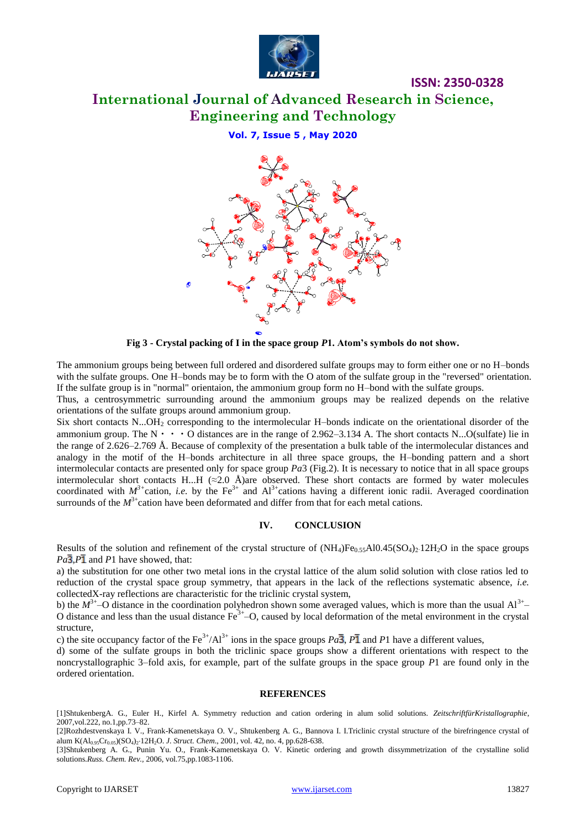

**ISSN: 2350-0328**

**Vol. 7, Issue 5 , May 2020**



**Fig 3 - Crystal packing of I in the space group** *P***1. Atom's symbols do not show.**

The ammonium groups being between full ordered and disordered sulfate groups may to form either one or no H–bonds with the sulfate groups. One H–bonds may be to form with the O atom of the sulfate group in the "reversed" orientation. If the sulfate group is in "normal" orientaion, the ammonium group form no H–bond with the sulfate groups.

Thus, a centrosymmetric surrounding around the ammonium groups may be realized depends on the relative orientations of the sulfate groups around ammonium group.

Six short contacts N...OH<sub>2</sub> corresponding to the intermolecular H–bonds indicate on the orientational disorder of the ammonium group. The  $N \cdot \cdot \cdot O$  distances are in the range of 2.962–3.134 A. The short contacts N...O(sulfate) lie in the range of 2.626–2.769 Å. Because of complexity of the presentation a bulk table of the intermolecular distances and analogy in the motif of the H–bonds architecture in all three space groups, the H–bonding pattern and a short intermolecular contacts are presented only for space group *Pa*3 (Fig.2). It is necessary to notice that in all space groups intermolecular short contacts H...H (*≈*2.0 Å)are observed. These short contacts are formed by water molecules coordinated with  $M^{3+}$ cation, *i.e.* by the Fe<sup>3+</sup> and Al<sup>3+</sup>cations having a different ionic radii. Averaged coordination surrounds of the  $M<sup>3+</sup>$ cation have been deformated and differ from that for each metal cations.

### **IV. CONCLUSION**

Results of the solution and refinement of the crystal structure of  $(NH_4)Fe_{0.55}Al0.45(SO_4)_2.12H_2O$  in the space groups  $Pa\overline{3}$ , $P\overline{1}$  and  $P1$  have showed, that:

a) the substitution for one other two metal ions in the crystal lattice of the alum solid solution with close ratios led to reduction of the crystal space group symmetry, that appears in the lack of the reflections systematic absence, *i.e.*  collectedX-ray reflections are characteristic for the triclinic crystal system,

b) the  $M^{3+}$ –O distance in the coordination polyhedron shown some averaged values, which is more than the usual Al<sup>3+</sup>– O distance and less than the usual distance  $Fe^{3+}$ –O, caused by local deformation of the metal environment in the crystal structure,

c) the site occupancy factor of the Fe<sup>3+</sup>/Al<sup>3+</sup> ions in the space groups  $Pa\overline{3}$ ,  $P\overline{1}$  and P1 have a different values,

d) some of the sulfate groups in both the triclinic space groups show a different orientations with respect to the noncrystallographic 3–fold axis, for example, part of the sulfate groups in the space group *P*1 are found only in the ordered orientation.

### **REFERENCES**

[1]ShtukenbergA. G., Euler H., Kirfel A. Symmetry reduction and cation ordering in alum solid solutions. *ZeitschriftfürKristallographie*, 2007,vol.222, no.1,pp.73–82.

[2]Rozhdestvenskaya I. V., Frank-Kamenetskaya O. V., Shtukenberg A. G., Bannova I. I.Triclinic crystal structure of the birefringence crystal of alum K(Al0.95Cr0.05)(SO4)212H2O. *J. Struct. Chem*., 2001, vol. 42, no. 4, pp.628-638.

[3]Shtukenberg A. G., Punin Yu. O., Frank-Kamenetskaya O. V. Kinetic ordering and growth dissymmetrization of the crystalline solid solutions.*Russ. Chem. Rev.,* 2006, vol.75,pp.1083-1106.